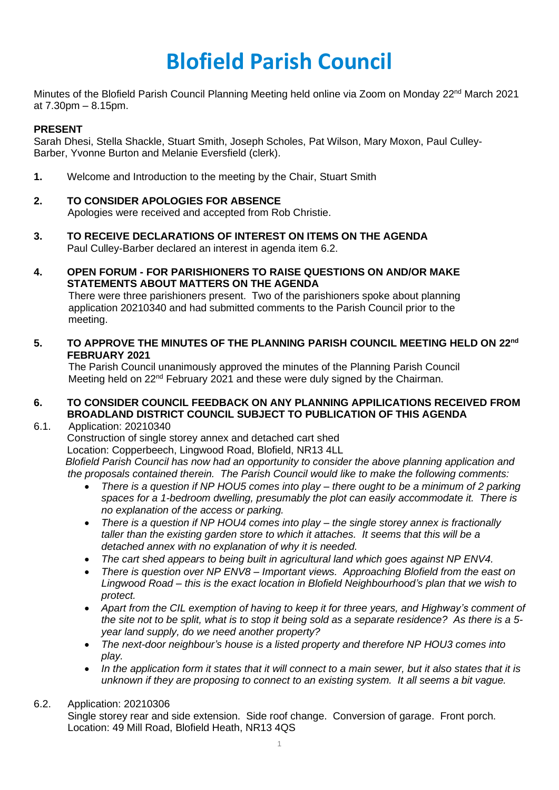# **Blofield Parish Council**

Minutes of the Blofield Parish Council Planning Meeting held online via Zoom on Monday 22<sup>nd</sup> March 2021 at 7.30pm – 8.15pm.

## **PRESENT**

Sarah Dhesi, Stella Shackle, Stuart Smith, Joseph Scholes, Pat Wilson, Mary Moxon, Paul Culley-Barber, Yvonne Burton and Melanie Eversfield (clerk).

**1.** Welcome and Introduction to the meeting by the Chair, Stuart Smith

## **2. TO CONSIDER APOLOGIES FOR ABSENCE**

Apologies were received and accepted from Rob Christie.

- **3. TO RECEIVE DECLARATIONS OF INTEREST ON ITEMS ON THE AGENDA** Paul Culley-Barber declared an interest in agenda item 6.2.
- **4. OPEN FORUM - FOR PARISHIONERS TO RAISE QUESTIONS ON AND/OR MAKE STATEMENTS ABOUT MATTERS ON THE AGENDA**

 There were three parishioners present. Two of the parishioners spoke about planning application 20210340 and had submitted comments to the Parish Council prior to the meeting.

**5. TO APPROVE THE MINUTES OF THE PLANNING PARISH COUNCIL MEETING HELD ON 22nd FEBRUARY 2021**

The Parish Council unanimously approved the minutes of the Planning Parish Council Meeting held on 22<sup>nd</sup> February 2021 and these were duly signed by the Chairman.

## **6. TO CONSIDER COUNCIL FEEDBACK ON ANY PLANNING APPILICATIONS RECEIVED FROM BROADLAND DISTRICT COUNCIL SUBJECT TO PUBLICATION OF THIS AGENDA**

## 6.1. Application: 20210340

Construction of single storey annex and detached cart shed

Location: Copperbeech, Lingwood Road, Blofield, NR13 4LL

 *Blofield Parish Council has now had an opportunity to consider the above planning application and the proposals contained therein. The Parish Council would like to make the following comments:* 

- *There is a question if NP HOU5 comes into play – there ought to be a minimum of 2 parking spaces for a 1-bedroom dwelling, presumably the plot can easily accommodate it. There is no explanation of the access or parking.*
- *There is a question if NP HOU4 comes into play – the single storey annex is fractionally taller than the existing garden store to which it attaches. It seems that this will be a detached annex with no explanation of why it is needed.*
- *The cart shed appears to being built in agricultural land which goes against NP ENV4.*
- *There is question over NP ENV8 – Important views. Approaching Blofield from the east on Lingwood Road – this is the exact location in Blofield Neighbourhood's plan that we wish to protect.*
- *Apart from the CIL exemption of having to keep it for three years, and Highway's comment of the site not to be split, what is to stop it being sold as a separate residence? As there is a 5 year land supply, do we need another property?*
- *The next-door neighbour's house is a listed property and therefore NP HOU3 comes into play.*
- *In the application form it states that it will connect to a main sewer, but it also states that it is unknown if they are proposing to connect to an existing system. It all seems a bit vague.*

## 6.2. Application: 20210306

Single storey rear and side extension. Side roof change. Conversion of garage. Front porch. Location: 49 Mill Road, Blofield Heath, NR13 4QS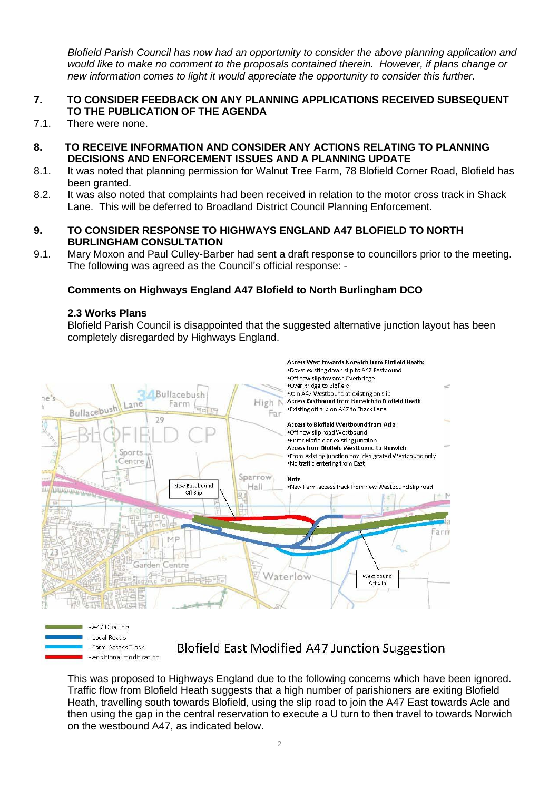*Blofield Parish Council has now had an opportunity to consider the above planning application and would like to make no comment to the proposals contained therein. However, if plans change or new information comes to light it would appreciate the opportunity to consider this further.* 

## **7. TO CONSIDER FEEDBACK ON ANY PLANNING APPLICATIONS RECEIVED SUBSEQUENT TO THE PUBLICATION OF THE AGENDA**

- 7.1. There were none.
- **8. TO RECEIVE INFORMATION AND CONSIDER ANY ACTIONS RELATING TO PLANNING DECISIONS AND ENFORCEMENT ISSUES AND A PLANNING UPDATE**
- 8.1. It was noted that planning permission for Walnut Tree Farm, 78 Blofield Corner Road, Blofield has been granted.
- 8.2. It was also noted that complaints had been received in relation to the motor cross track in Shack Lane. This will be deferred to Broadland District Council Planning Enforcement.
- **9. TO CONSIDER RESPONSE TO HIGHWAYS ENGLAND A47 BLOFIELD TO NORTH BURLINGHAM CONSULTATION**
- 9.1. Mary Moxon and Paul Culley-Barber had sent a draft response to councillors prior to the meeting. The following was agreed as the Council's official response: -

#### **Comments on Highways England A47 Blofield to North Burlingham DCO**

#### **2.3 Works Plans**

Blofield Parish Council is disappointed that the suggested alternative junction layout has been completely disregarded by Highways England.



- A47 Dualling
- Local Roads
- Farm Access Track - Additional modification

## Blofield East Modified A47 Junction Suggestion

This was proposed to Highways England due to the following concerns which have been ignored. Traffic flow from Blofield Heath suggests that a high number of parishioners are exiting Blofield Heath, travelling south towards Blofield, using the slip road to join the A47 East towards Acle and then using the gap in the central reservation to execute a U turn to then travel to towards Norwich on the westbound A47, as indicated below.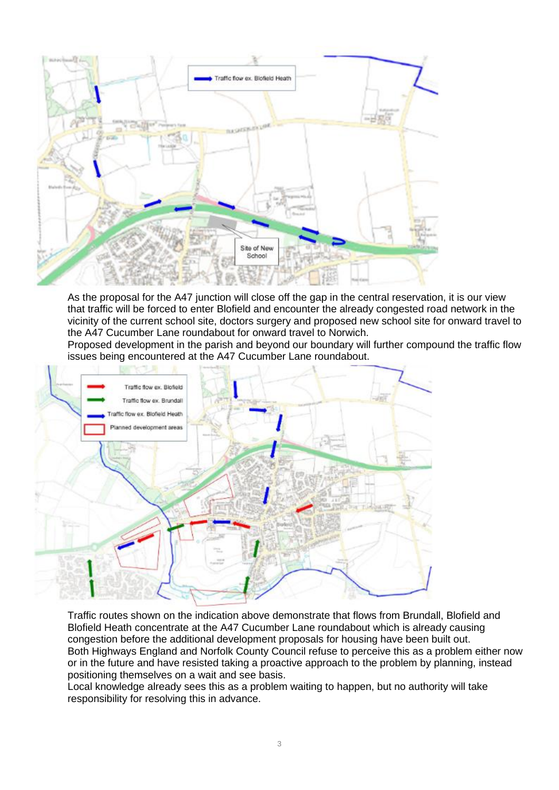

As the proposal for the A47 junction will close off the gap in the central reservation, it is our view that traffic will be forced to enter Blofield and encounter the already congested road network in the vicinity of the current school site, doctors surgery and proposed new school site for onward travel to the A47 Cucumber Lane roundabout for onward travel to Norwich.

Proposed development in the parish and beyond our boundary will further compound the traffic flow issues being encountered at the A47 Cucumber Lane roundabout.



Traffic routes shown on the indication above demonstrate that flows from Brundall, Blofield and Blofield Heath concentrate at the A47 Cucumber Lane roundabout which is already causing congestion before the additional development proposals for housing have been built out. Both Highways England and Norfolk County Council refuse to perceive this as a problem either now or in the future and have resisted taking a proactive approach to the problem by planning, instead positioning themselves on a wait and see basis.

Local knowledge already sees this as a problem waiting to happen, but no authority will take responsibility for resolving this in advance.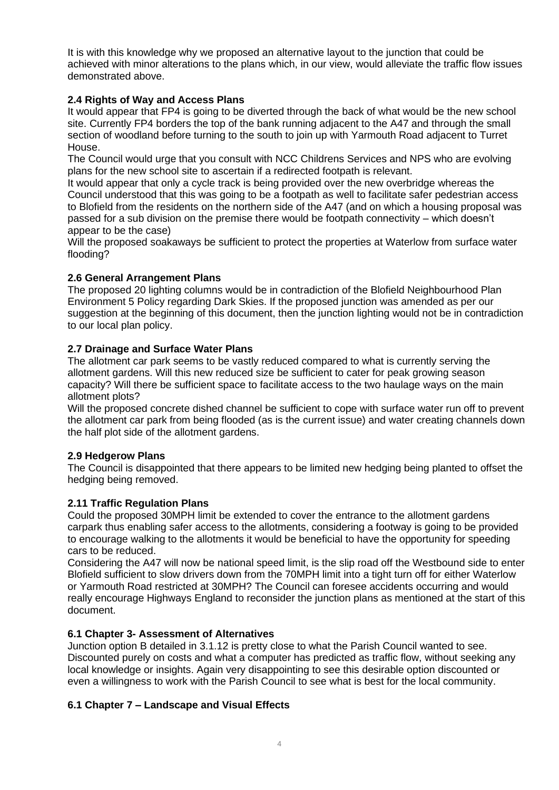It is with this knowledge why we proposed an alternative layout to the junction that could be achieved with minor alterations to the plans which, in our view, would alleviate the traffic flow issues demonstrated above.

## **2.4 Rights of Way and Access Plans**

It would appear that FP4 is going to be diverted through the back of what would be the new school site. Currently FP4 borders the top of the bank running adjacent to the A47 and through the small section of woodland before turning to the south to join up with Yarmouth Road adjacent to Turret House.

The Council would urge that you consult with NCC Childrens Services and NPS who are evolving plans for the new school site to ascertain if a redirected footpath is relevant.

It would appear that only a cycle track is being provided over the new overbridge whereas the Council understood that this was going to be a footpath as well to facilitate safer pedestrian access to Blofield from the residents on the northern side of the A47 (and on which a housing proposal was passed for a sub division on the premise there would be footpath connectivity – which doesn't appear to be the case)

Will the proposed soakaways be sufficient to protect the properties at Waterlow from surface water flooding?

## **2.6 General Arrangement Plans**

The proposed 20 lighting columns would be in contradiction of the Blofield Neighbourhood Plan Environment 5 Policy regarding Dark Skies. If the proposed junction was amended as per our suggestion at the beginning of this document, then the junction lighting would not be in contradiction to our local plan policy.

## **2.7 Drainage and Surface Water Plans**

The allotment car park seems to be vastly reduced compared to what is currently serving the allotment gardens. Will this new reduced size be sufficient to cater for peak growing season capacity? Will there be sufficient space to facilitate access to the two haulage ways on the main allotment plots?

Will the proposed concrete dished channel be sufficient to cope with surface water run off to prevent the allotment car park from being flooded (as is the current issue) and water creating channels down the half plot side of the allotment gardens.

## **2.9 Hedgerow Plans**

The Council is disappointed that there appears to be limited new hedging being planted to offset the hedging being removed.

## **2.11 Traffic Regulation Plans**

Could the proposed 30MPH limit be extended to cover the entrance to the allotment gardens carpark thus enabling safer access to the allotments, considering a footway is going to be provided to encourage walking to the allotments it would be beneficial to have the opportunity for speeding cars to be reduced.

Considering the A47 will now be national speed limit, is the slip road off the Westbound side to enter Blofield sufficient to slow drivers down from the 70MPH limit into a tight turn off for either Waterlow or Yarmouth Road restricted at 30MPH? The Council can foresee accidents occurring and would really encourage Highways England to reconsider the junction plans as mentioned at the start of this document.

## **6.1 Chapter 3- Assessment of Alternatives**

Junction option B detailed in 3.1.12 is pretty close to what the Parish Council wanted to see. Discounted purely on costs and what a computer has predicted as traffic flow, without seeking any local knowledge or insights. Again very disappointing to see this desirable option discounted or even a willingness to work with the Parish Council to see what is best for the local community.

## **6.1 Chapter 7 – Landscape and Visual Effects**